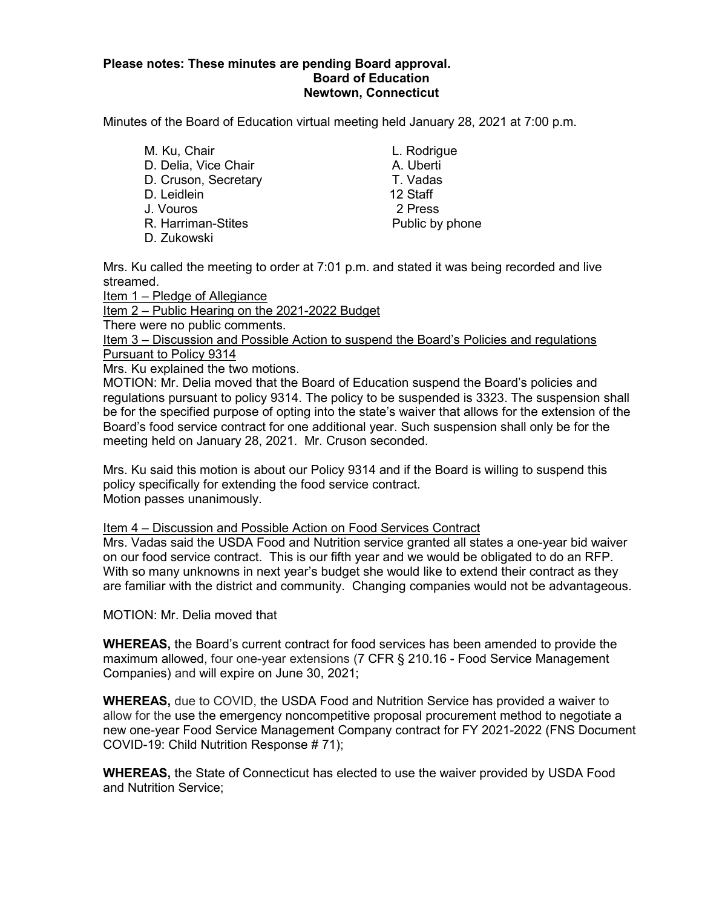## **Please notes: These minutes are pending Board approval. Board of Education Newtown, Connecticut**

Minutes of the Board of Education virtual meeting held January 28, 2021 at 7:00 p.m.

M. Ku, Chair **M. Ku, Chair** L. Rodrigue D. Delia, Vice Chair **A.** Uberti D. Cruson, Secretary T. Vadas D. Leidlein 12 Staff J. Vouros 2 Press R. Harriman-Stites **Public by phone** D. Zukowski

Mrs. Ku called the meeting to order at 7:01 p.m. and stated it was being recorded and live streamed.

Item 1 – Pledge of Allegiance

Item 2 – Public Hearing on the 2021-2022 Budget

There were no public comments.

Item 3 – Discussion and Possible Action to suspend the Board's Policies and regulations Pursuant to Policy 9314

Mrs. Ku explained the two motions.

MOTION: Mr. Delia moved that the Board of Education suspend the Board's policies and regulations pursuant to policy 9314. The policy to be suspended is 3323. The suspension shall be for the specified purpose of opting into the state's waiver that allows for the extension of the Board's food service contract for one additional year. Such suspension shall only be for the meeting held on January 28, 2021. Mr. Cruson seconded.

Mrs. Ku said this motion is about our Policy 9314 and if the Board is willing to suspend this policy specifically for extending the food service contract. Motion passes unanimously.

## Item 4 – Discussion and Possible Action on Food Services Contract

Mrs. Vadas said the USDA Food and Nutrition service granted all states a one-year bid waiver on our food service contract. This is our fifth year and we would be obligated to do an RFP. With so many unknowns in next year's budget she would like to extend their contract as they are familiar with the district and community. Changing companies would not be advantageous.

MOTION: Mr. Delia moved that

**WHEREAS,** the Board's current contract for food services has been amended to provide the maximum allowed, four one-year extensions (7 CFR § 210.16 - Food Service Management Companies) and will expire on June 30, 2021;

**WHEREAS,** due to COVID, the USDA Food and Nutrition Service has provided a waiver to allow for the use the emergency noncompetitive proposal procurement method to negotiate a new one-year Food Service Management Company contract for FY 2021-2022 (FNS Document COVID-19: Child Nutrition Response # 71);

**WHEREAS,** the State of Connecticut has elected to use the waiver provided by USDA Food and Nutrition Service;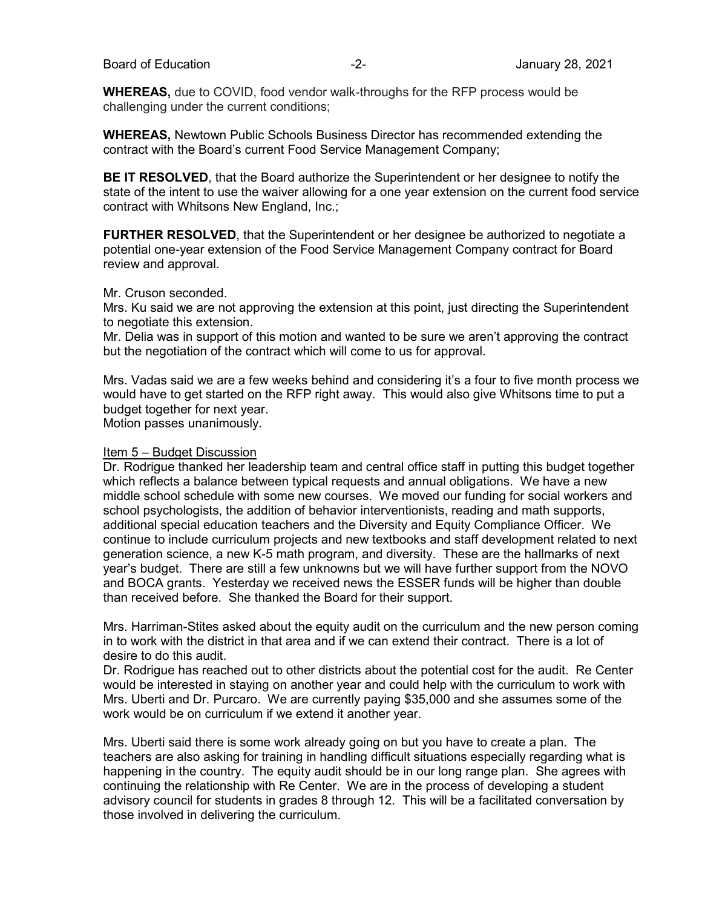**WHEREAS,** due to COVID, food vendor walk-throughs for the RFP process would be challenging under the current conditions;

**WHEREAS,** Newtown Public Schools Business Director has recommended extending the contract with the Board's current Food Service Management Company;

**BE IT RESOLVED**, that the Board authorize the Superintendent or her designee to notify the state of the intent to use the waiver allowing for a one year extension on the current food service contract with Whitsons New England, Inc.;

**FURTHER RESOLVED**, that the Superintendent or her designee be authorized to negotiate a potential one-year extension of the Food Service Management Company contract for Board review and approval.

#### Mr. Cruson seconded.

Mrs. Ku said we are not approving the extension at this point, just directing the Superintendent to negotiate this extension.

Mr. Delia was in support of this motion and wanted to be sure we aren't approving the contract but the negotiation of the contract which will come to us for approval.

Mrs. Vadas said we are a few weeks behind and considering it's a four to five month process we would have to get started on the RFP right away. This would also give Whitsons time to put a budget together for next year.

Motion passes unanimously.

#### Item 5 – Budget Discussion

Dr. Rodrigue thanked her leadership team and central office staff in putting this budget together which reflects a balance between typical requests and annual obligations. We have a new middle school schedule with some new courses. We moved our funding for social workers and school psychologists, the addition of behavior interventionists, reading and math supports, additional special education teachers and the Diversity and Equity Compliance Officer. We continue to include curriculum projects and new textbooks and staff development related to next generation science, a new K-5 math program, and diversity. These are the hallmarks of next year's budget. There are still a few unknowns but we will have further support from the NOVO and BOCA grants. Yesterday we received news the ESSER funds will be higher than double than received before. She thanked the Board for their support.

Mrs. Harriman-Stites asked about the equity audit on the curriculum and the new person coming in to work with the district in that area and if we can extend their contract. There is a lot of desire to do this audit.

Dr. Rodrigue has reached out to other districts about the potential cost for the audit. Re Center would be interested in staying on another year and could help with the curriculum to work with Mrs. Uberti and Dr. Purcaro. We are currently paying \$35,000 and she assumes some of the work would be on curriculum if we extend it another year.

Mrs. Uberti said there is some work already going on but you have to create a plan. The teachers are also asking for training in handling difficult situations especially regarding what is happening in the country. The equity audit should be in our long range plan. She agrees with continuing the relationship with Re Center. We are in the process of developing a student advisory council for students in grades 8 through 12. This will be a facilitated conversation by those involved in delivering the curriculum.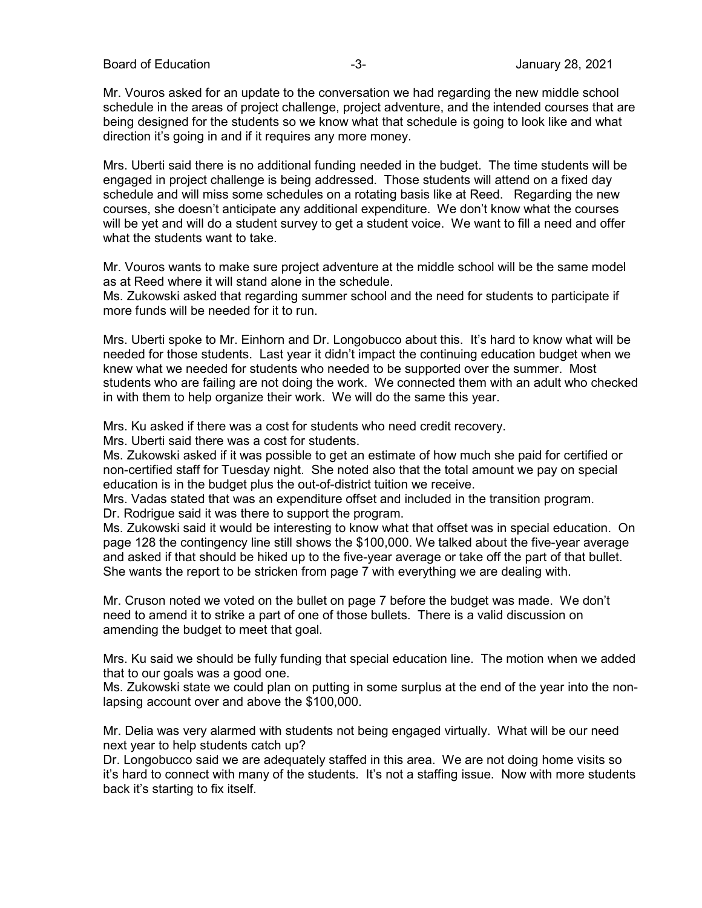Board of Education **-3-** Figure 28, 2021

Mr. Vouros asked for an update to the conversation we had regarding the new middle school schedule in the areas of project challenge, project adventure, and the intended courses that are being designed for the students so we know what that schedule is going to look like and what direction it's going in and if it requires any more money.

Mrs. Uberti said there is no additional funding needed in the budget. The time students will be engaged in project challenge is being addressed. Those students will attend on a fixed day schedule and will miss some schedules on a rotating basis like at Reed. Regarding the new courses, she doesn't anticipate any additional expenditure. We don't know what the courses will be yet and will do a student survey to get a student voice. We want to fill a need and offer what the students want to take.

Mr. Vouros wants to make sure project adventure at the middle school will be the same model as at Reed where it will stand alone in the schedule.

Ms. Zukowski asked that regarding summer school and the need for students to participate if more funds will be needed for it to run.

Mrs. Uberti spoke to Mr. Einhorn and Dr. Longobucco about this. It's hard to know what will be needed for those students. Last year it didn't impact the continuing education budget when we knew what we needed for students who needed to be supported over the summer. Most students who are failing are not doing the work. We connected them with an adult who checked in with them to help organize their work. We will do the same this year.

Mrs. Ku asked if there was a cost for students who need credit recovery.

Mrs. Uberti said there was a cost for students.

Ms. Zukowski asked if it was possible to get an estimate of how much she paid for certified or non-certified staff for Tuesday night. She noted also that the total amount we pay on special education is in the budget plus the out-of-district tuition we receive.

Mrs. Vadas stated that was an expenditure offset and included in the transition program. Dr. Rodrigue said it was there to support the program.

Ms. Zukowski said it would be interesting to know what that offset was in special education. On page 128 the contingency line still shows the \$100,000. We talked about the five-year average and asked if that should be hiked up to the five-year average or take off the part of that bullet. She wants the report to be stricken from page 7 with everything we are dealing with.

Mr. Cruson noted we voted on the bullet on page 7 before the budget was made. We don't need to amend it to strike a part of one of those bullets. There is a valid discussion on amending the budget to meet that goal.

Mrs. Ku said we should be fully funding that special education line. The motion when we added that to our goals was a good one.

Ms. Zukowski state we could plan on putting in some surplus at the end of the year into the nonlapsing account over and above the \$100,000.

Mr. Delia was very alarmed with students not being engaged virtually. What will be our need next year to help students catch up?

Dr. Longobucco said we are adequately staffed in this area. We are not doing home visits so it's hard to connect with many of the students. It's not a staffing issue. Now with more students back it's starting to fix itself.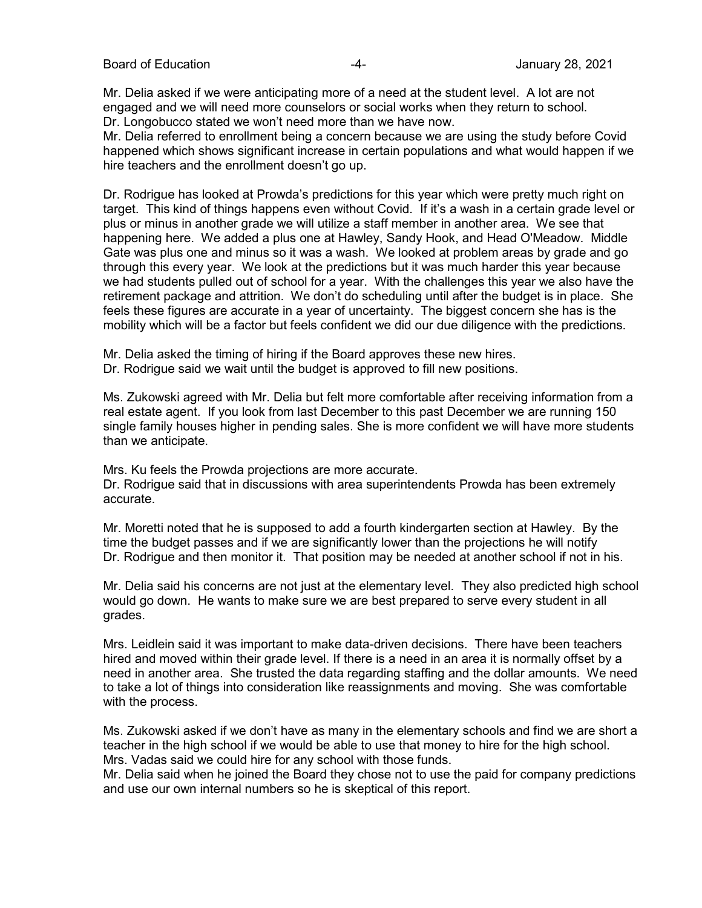Mr. Delia asked if we were anticipating more of a need at the student level. A lot are not engaged and we will need more counselors or social works when they return to school. Dr. Longobucco stated we won't need more than we have now.

Mr. Delia referred to enrollment being a concern because we are using the study before Covid happened which shows significant increase in certain populations and what would happen if we hire teachers and the enrollment doesn't go up.

Dr. Rodrigue has looked at Prowda's predictions for this year which were pretty much right on target. This kind of things happens even without Covid. If it's a wash in a certain grade level or plus or minus in another grade we will utilize a staff member in another area. We see that happening here. We added a plus one at Hawley, Sandy Hook, and Head O'Meadow. Middle Gate was plus one and minus so it was a wash. We looked at problem areas by grade and go through this every year. We look at the predictions but it was much harder this year because we had students pulled out of school for a year. With the challenges this year we also have the retirement package and attrition. We don't do scheduling until after the budget is in place. She feels these figures are accurate in a year of uncertainty. The biggest concern she has is the mobility which will be a factor but feels confident we did our due diligence with the predictions.

Mr. Delia asked the timing of hiring if the Board approves these new hires.

Dr. Rodrigue said we wait until the budget is approved to fill new positions.

Ms. Zukowski agreed with Mr. Delia but felt more comfortable after receiving information from a real estate agent. If you look from last December to this past December we are running 150 single family houses higher in pending sales. She is more confident we will have more students than we anticipate.

Mrs. Ku feels the Prowda projections are more accurate.

Dr. Rodrigue said that in discussions with area superintendents Prowda has been extremely accurate.

Mr. Moretti noted that he is supposed to add a fourth kindergarten section at Hawley. By the time the budget passes and if we are significantly lower than the projections he will notify Dr. Rodrigue and then monitor it. That position may be needed at another school if not in his.

Mr. Delia said his concerns are not just at the elementary level. They also predicted high school would go down. He wants to make sure we are best prepared to serve every student in all grades.

Mrs. Leidlein said it was important to make data-driven decisions. There have been teachers hired and moved within their grade level. If there is a need in an area it is normally offset by a need in another area. She trusted the data regarding staffing and the dollar amounts. We need to take a lot of things into consideration like reassignments and moving. She was comfortable with the process.

Ms. Zukowski asked if we don't have as many in the elementary schools and find we are short a teacher in the high school if we would be able to use that money to hire for the high school. Mrs. Vadas said we could hire for any school with those funds.

Mr. Delia said when he joined the Board they chose not to use the paid for company predictions and use our own internal numbers so he is skeptical of this report.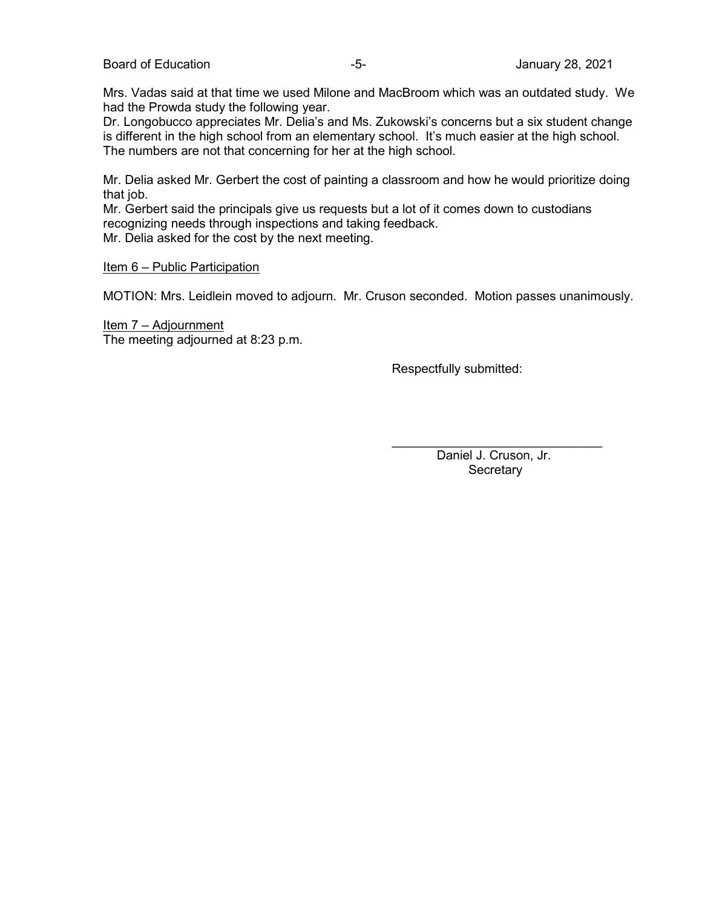Mrs. Vadas said at that time we used Milone and MacBroom which was an outdated study. We had the Prowda study the following year.

Dr. Longobucco appreciates Mr. Delia's and Ms. Zukowski's concerns but a six student change is different in the high school from an elementary school. It's much easier at the high school. The numbers are not that concerning for her at the high school.

Mr. Delia asked Mr. Gerbert the cost of painting a classroom and how he would prioritize doing that job.

Mr. Gerbert said the principals give us requests but a lot of it comes down to custodians recognizing needs through inspections and taking feedback.

Mr. Delia asked for the cost by the next meeting.

#### Item 6 – Public Participation

MOTION: Mrs. Leidlein moved to adjourn. Mr. Cruson seconded. Motion passes unanimously.

Item 7 – Adjournment The meeting adjourned at 8:23 p.m.

Respectfully submitted:

 $\overline{\phantom{a}}$  , which is a set of the set of the set of the set of the set of the set of the set of the set of the set of the set of the set of the set of the set of the set of the set of the set of the set of the set of th Daniel J. Cruson, Jr. **Secretary**